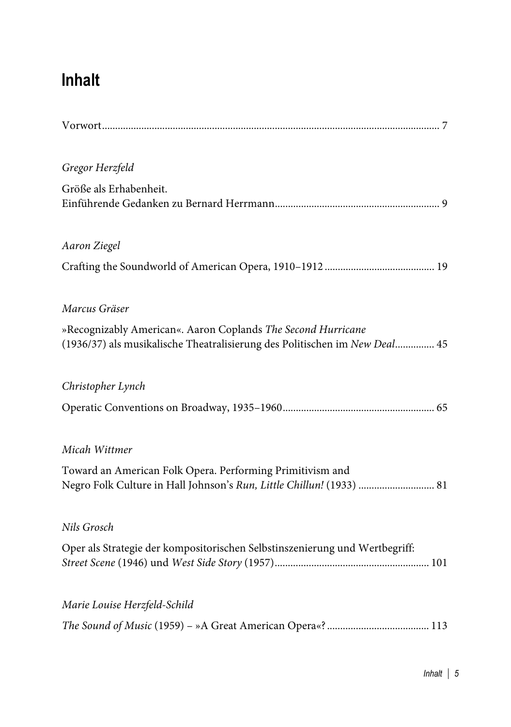## **Inhalt**

| Gregor Herzfeld                                                                                                                            |
|--------------------------------------------------------------------------------------------------------------------------------------------|
| Größe als Erhabenheit.                                                                                                                     |
| Aaron Ziegel                                                                                                                               |
|                                                                                                                                            |
| Marcus Gräser                                                                                                                              |
| »Recognizably American«. Aaron Coplands The Second Hurricane<br>(1936/37) als musikalische Theatralisierung des Politischen im New Deal 45 |
| Christopher Lynch                                                                                                                          |
|                                                                                                                                            |
| Micah Wittmer                                                                                                                              |
| Toward an American Folk Opera. Performing Primitivism and<br>Negro Folk Culture in Hall Johnson's Run, Little Chillun! (1933)  81          |
| Nils Grosch                                                                                                                                |
| Oper als Strategie der kompositorischen Selbstinszenierung und Wertbegriff:                                                                |
| Marie Louise Herzfeld-Schild                                                                                                               |
|                                                                                                                                            |